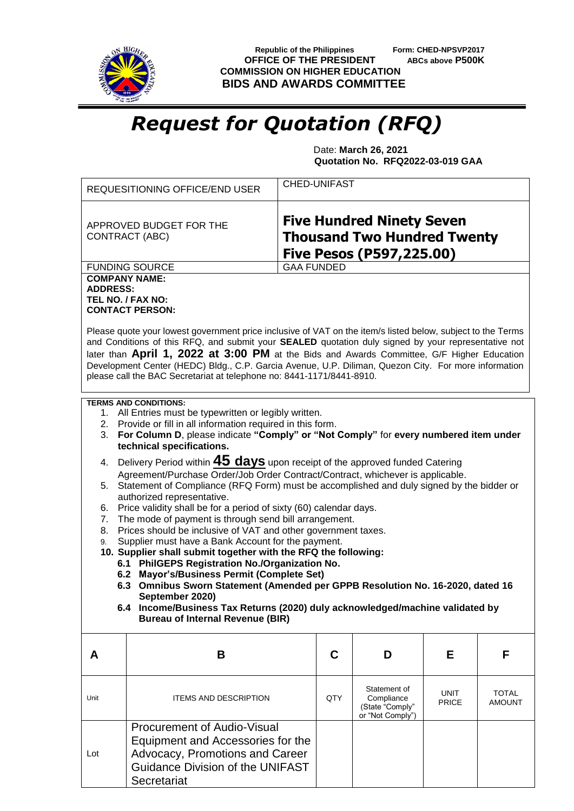

**Secretariat** 

**Republic of the Philippines** Form: CHED-NPSVP2017<br>**FFICE OF THE PRESIDENT** ABCs above P500K **OFFICE OF THE PRESIDENT COMMISSION ON HIGHER EDUCATION BIDS AND AWARDS COMMITTEE**

## *Request for Quotation (RFQ)*

 Date: **March 26, 2021 Quotation No. RFQ2022-03-019 GAA**

|                                  | REQUESITIONING OFFICE/END USER                                                                                                                                                                                                                                                                                                                                                                                                                                                                                                                                                                                                                                                                                                                                                                                                                                                                                                                                                                                                                                                                                                                                                                                                           | <b>CHED-UNIFAST</b> |                                                                   |                      |                        |
|----------------------------------|------------------------------------------------------------------------------------------------------------------------------------------------------------------------------------------------------------------------------------------------------------------------------------------------------------------------------------------------------------------------------------------------------------------------------------------------------------------------------------------------------------------------------------------------------------------------------------------------------------------------------------------------------------------------------------------------------------------------------------------------------------------------------------------------------------------------------------------------------------------------------------------------------------------------------------------------------------------------------------------------------------------------------------------------------------------------------------------------------------------------------------------------------------------------------------------------------------------------------------------|---------------------|-------------------------------------------------------------------|----------------------|------------------------|
|                                  | <b>Five Hundred Ninety Seven</b><br>APPROVED BUDGET FOR THE<br><b>Thousand Two Hundred Twenty</b><br>CONTRACT (ABC)<br><b>Five Pesos (P597,225.00)</b>                                                                                                                                                                                                                                                                                                                                                                                                                                                                                                                                                                                                                                                                                                                                                                                                                                                                                                                                                                                                                                                                                   |                     |                                                                   |                      |                        |
|                                  | <b>FUNDING SOURCE</b>                                                                                                                                                                                                                                                                                                                                                                                                                                                                                                                                                                                                                                                                                                                                                                                                                                                                                                                                                                                                                                                                                                                                                                                                                    | <b>GAA FUNDED</b>   |                                                                   |                      |                        |
| <b>ADDRESS:</b>                  | <b>COMPANY NAME:</b><br>TEL NO. / FAX NO:<br><b>CONTACT PERSON:</b><br>Please quote your lowest government price inclusive of VAT on the item/s listed below, subject to the Terms<br>and Conditions of this RFQ, and submit your SEALED quotation duly signed by your representative not                                                                                                                                                                                                                                                                                                                                                                                                                                                                                                                                                                                                                                                                                                                                                                                                                                                                                                                                                |                     |                                                                   |                      |                        |
|                                  | later than April 1, 2022 at 3:00 PM at the Bids and Awards Committee, G/F Higher Education<br>Development Center (HEDC) Bldg., C.P. Garcia Avenue, U.P. Diliman, Quezon City. For more information<br>please call the BAC Secretariat at telephone no: 8441-1171/8441-8910.                                                                                                                                                                                                                                                                                                                                                                                                                                                                                                                                                                                                                                                                                                                                                                                                                                                                                                                                                              |                     |                                                                   |                      |                        |
| 3.<br>5.<br>6.<br>7.<br>8.<br>9. | <b>TERMS AND CONDITIONS:</b><br>1. All Entries must be typewritten or legibly written.<br>2. Provide or fill in all information required in this form.<br>For Column D, please indicate "Comply" or "Not Comply" for every numbered item under<br>technical specifications.<br>4. Delivery Period within <b>45 days</b> upon receipt of the approved funded Catering<br>Agreement/Purchase Order/Job Order Contract/Contract, whichever is applicable.<br>Statement of Compliance (RFQ Form) must be accomplished and duly signed by the bidder or<br>authorized representative.<br>Price validity shall be for a period of sixty (60) calendar days.<br>The mode of payment is through send bill arrangement.<br>Prices should be inclusive of VAT and other government taxes.<br>Supplier must have a Bank Account for the payment.<br>10. Supplier shall submit together with the RFQ the following:<br>6.1 PhilGEPS Registration No./Organization No.<br>6.2 Mayor's/Business Permit (Complete Set)<br>6.3 Omnibus Sworn Statement (Amended per GPPB Resolution No. 16-2020, dated 16<br>September 2020)<br>6.4 Income/Business Tax Returns (2020) duly acknowledged/machine validated by<br><b>Bureau of Internal Revenue (BIR)</b> |                     |                                                                   |                      |                        |
| A                                | B                                                                                                                                                                                                                                                                                                                                                                                                                                                                                                                                                                                                                                                                                                                                                                                                                                                                                                                                                                                                                                                                                                                                                                                                                                        | C                   | D                                                                 | Е                    | F                      |
| Unit                             | <b>ITEMS AND DESCRIPTION</b>                                                                                                                                                                                                                                                                                                                                                                                                                                                                                                                                                                                                                                                                                                                                                                                                                                                                                                                                                                                                                                                                                                                                                                                                             | QTY                 | Statement of<br>Compliance<br>(State "Comply"<br>or "Not Comply") | UNIT<br><b>PRICE</b> | TOTAL<br><b>AMOUNT</b> |
| Lot                              | <b>Procurement of Audio-Visual</b><br>Equipment and Accessories for the<br>Advocacy, Promotions and Career<br><b>Guidance Division of the UNIFAST</b>                                                                                                                                                                                                                                                                                                                                                                                                                                                                                                                                                                                                                                                                                                                                                                                                                                                                                                                                                                                                                                                                                    |                     |                                                                   |                      |                        |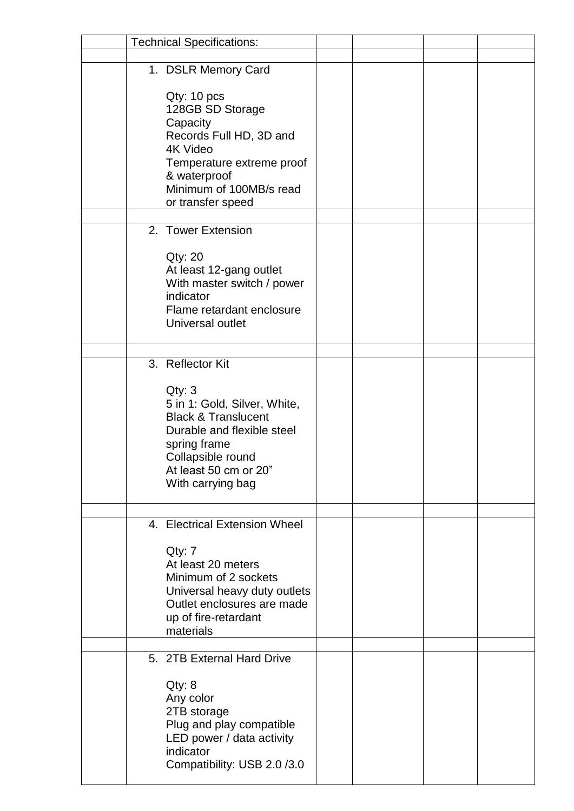| <b>Technical Specifications:</b>                                                                                                                                                                              |  |  |
|---------------------------------------------------------------------------------------------------------------------------------------------------------------------------------------------------------------|--|--|
|                                                                                                                                                                                                               |  |  |
| 1. DSLR Memory Card<br>Qty: 10 pcs<br>128GB SD Storage<br>Capacity<br>Records Full HD, 3D and<br>4K Video<br>Temperature extreme proof<br>& waterproof<br>Minimum of 100MB/s read<br>or transfer speed        |  |  |
| 2. Tower Extension<br>Qty: 20<br>At least 12-gang outlet<br>With master switch / power<br>indicator<br>Flame retardant enclosure<br>Universal outlet                                                          |  |  |
| 3. Reflector Kit<br>Qty: 3<br>5 in 1: Gold, Silver, White,<br><b>Black &amp; Translucent</b><br>Durable and flexible steel<br>spring frame<br>Collapsible round<br>At least 50 cm or 20"<br>With carrying bag |  |  |
| 4. Electrical Extension Wheel<br>Qty: 7<br>At least 20 meters<br>Minimum of 2 sockets<br>Universal heavy duty outlets<br>Outlet enclosures are made<br>up of fire-retardant<br>materials                      |  |  |
| 5. 2TB External Hard Drive<br>Qty: 8<br>Any color<br>2TB storage<br>Plug and play compatible<br>LED power / data activity<br>indicator<br>Compatibility: USB 2.0/3.0                                          |  |  |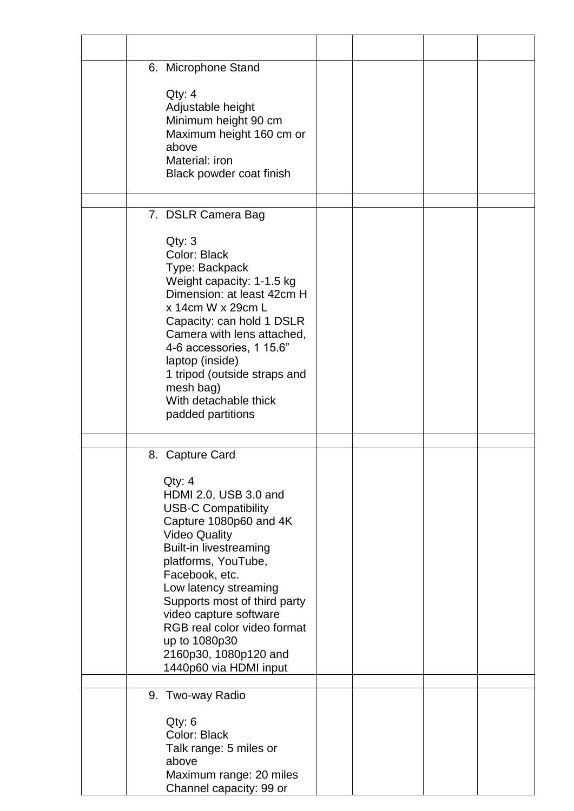| 6. Microphone Stand                                                                                                                                                                                                                                                                                                                                                                                |  |  |
|----------------------------------------------------------------------------------------------------------------------------------------------------------------------------------------------------------------------------------------------------------------------------------------------------------------------------------------------------------------------------------------------------|--|--|
| Qty: 4<br>Adjustable height<br>Minimum height 90 cm<br>Maximum height 160 cm or<br>above<br>Material: iron<br>Black powder coat finish                                                                                                                                                                                                                                                             |  |  |
| 7. DSLR Camera Bag                                                                                                                                                                                                                                                                                                                                                                                 |  |  |
| Qty: 3<br>Color: Black<br>Type: Backpack<br>Weight capacity: 1-1.5 kg<br>Dimension: at least 42cm H<br>x 14cm W x 29cm L<br>Capacity: can hold 1 DSLR<br>Camera with lens attached,<br>4-6 accessories, 1 15.6"<br>laptop (inside)<br>1 tripod (outside straps and<br>mesh bag)<br>With detachable thick<br>padded partitions                                                                      |  |  |
|                                                                                                                                                                                                                                                                                                                                                                                                    |  |  |
| 8. Capture Card<br>Qty: 4<br>HDMI 2.0, USB 3.0 and<br><b>USB-C Compatibility</b><br>Capture 1080p60 and 4K<br><b>Video Quality</b><br><b>Built-in livestreaming</b><br>platforms, YouTube,<br>Facebook, etc.<br>Low latency streaming<br>Supports most of third party<br>video capture software<br>RGB real color video format<br>up to 1080p30<br>2160p30, 1080p120 and<br>1440p60 via HDMI input |  |  |
| 9. Two-way Radio                                                                                                                                                                                                                                                                                                                                                                                   |  |  |
| Qty: 6<br>Color: Black<br>Talk range: 5 miles or<br>above<br>Maximum range: 20 miles<br>Channel capacity: 99 or                                                                                                                                                                                                                                                                                    |  |  |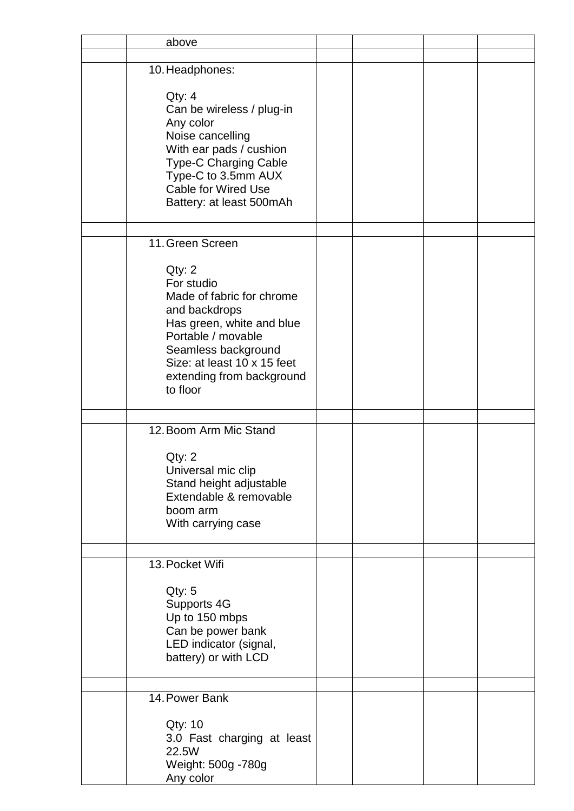| above                                                                                                                                                                                                                |  |  |
|----------------------------------------------------------------------------------------------------------------------------------------------------------------------------------------------------------------------|--|--|
|                                                                                                                                                                                                                      |  |  |
| 10. Headphones:                                                                                                                                                                                                      |  |  |
| Qty: 4<br>Can be wireless / plug-in<br>Any color<br>Noise cancelling<br>With ear pads / cushion<br>Type-C Charging Cable<br>Type-C to 3.5mm AUX<br><b>Cable for Wired Use</b><br>Battery: at least 500mAh            |  |  |
| 11. Green Screen                                                                                                                                                                                                     |  |  |
| Qty: 2<br>For studio<br>Made of fabric for chrome<br>and backdrops<br>Has green, white and blue<br>Portable / movable<br>Seamless background<br>Size: at least 10 x 15 feet<br>extending from background<br>to floor |  |  |
| 12. Boom Arm Mic Stand                                                                                                                                                                                               |  |  |
| Qty: 2<br>Universal mic clip<br>Stand height adjustable<br>Extendable & removable<br>boom arm<br>With carrying case                                                                                                  |  |  |
|                                                                                                                                                                                                                      |  |  |
| 13. Pocket Wifi<br>Qty: 5<br>Supports 4G<br>Up to 150 mbps<br>Can be power bank<br>LED indicator (signal,<br>battery) or with LCD                                                                                    |  |  |
| 14. Power Bank                                                                                                                                                                                                       |  |  |
| <b>Qty: 10</b><br>3.0 Fast charging at least<br>22.5W<br>Weight: 500g - 780g<br>Any color                                                                                                                            |  |  |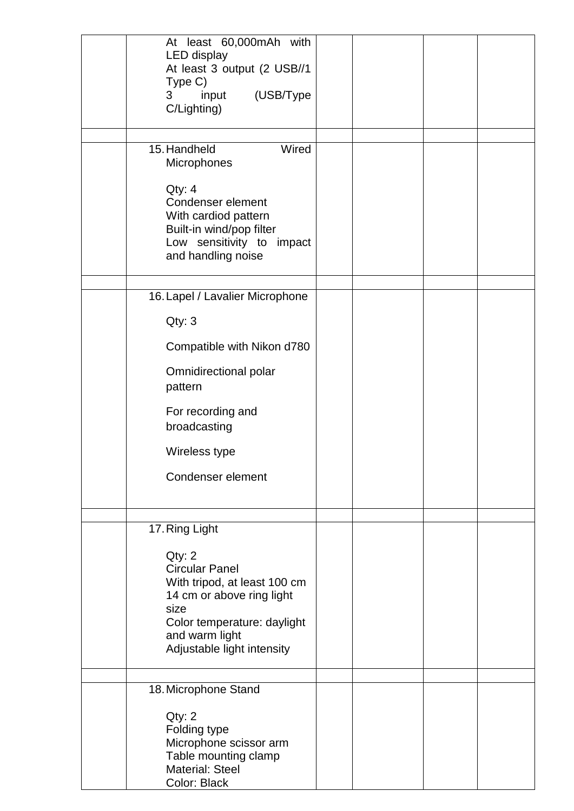| At least 60,000mAh with<br>LED display<br>At least 3 output (2 USB//1<br>Type C)<br>(USB/Type<br>3<br>input<br>C/Lighting)                                                          |  |  |
|-------------------------------------------------------------------------------------------------------------------------------------------------------------------------------------|--|--|
| 15. Handheld<br>Wired<br>Microphones                                                                                                                                                |  |  |
| Qty: 4<br>Condenser element<br>With cardiod pattern<br>Built-in wind/pop filter<br>Low sensitivity to impact<br>and handling noise                                                  |  |  |
| 16. Lapel / Lavalier Microphone                                                                                                                                                     |  |  |
| Qty: 3                                                                                                                                                                              |  |  |
| Compatible with Nikon d780                                                                                                                                                          |  |  |
| Omnidirectional polar<br>pattern                                                                                                                                                    |  |  |
| For recording and<br>broadcasting                                                                                                                                                   |  |  |
| Wireless type                                                                                                                                                                       |  |  |
| Condenser element                                                                                                                                                                   |  |  |
| 17. Ring Light                                                                                                                                                                      |  |  |
| Qty: 2<br><b>Circular Panel</b><br>With tripod, at least 100 cm<br>14 cm or above ring light<br>size<br>Color temperature: daylight<br>and warm light<br>Adjustable light intensity |  |  |
| 18. Microphone Stand                                                                                                                                                                |  |  |
| Qty: 2<br>Folding type<br>Microphone scissor arm<br>Table mounting clamp<br><b>Material: Steel</b><br>Color: Black                                                                  |  |  |